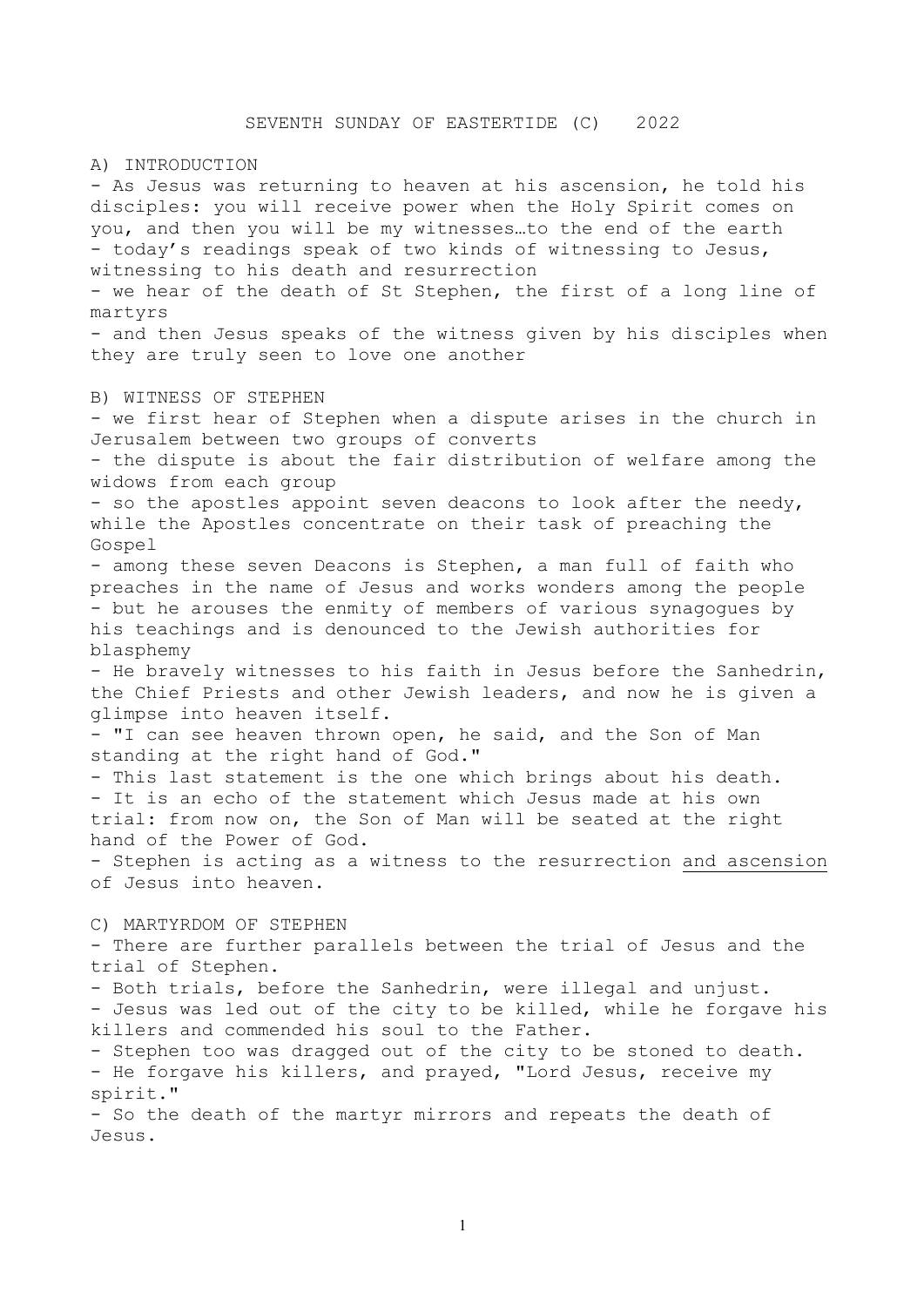A) INTRODUCTION

- As Jesus was returning to heaven at his ascension, he told his disciples: you will receive power when the Holy Spirit comes on you, and then you will be my witnesses…to the end of the earth - today's readings speak of two kinds of witnessing to Jesus, witnessing to his death and resurrection - we hear of the death of St Stephen, the first of a long line of martyrs - and then Jesus speaks of the witness given by his disciples when they are truly seen to love one another B) WITNESS OF STEPHEN - we first hear of Stephen when a dispute arises in the church in Jerusalem between two groups of converts - the dispute is about the fair distribution of welfare among the widows from each group - so the apostles appoint seven deacons to look after the needy, while the Apostles concentrate on their task of preaching the Gospel - among these seven Deacons is Stephen, a man full of faith who preaches in the name of Jesus and works wonders among the people - but he arouses the enmity of members of various synagogues by his teachings and is denounced to the Jewish authorities for blasphemy - He bravely witnesses to his faith in Jesus before the Sanhedrin, the Chief Priests and other Jewish leaders, and now he is given a glimpse into heaven itself. - "I can see heaven thrown open, he said, and the Son of Man standing at the right hand of God." - This last statement is the one which brings about his death. - It is an echo of the statement which Jesus made at his own trial: from now on, the Son of Man will be seated at the right hand of the Power of God. - Stephen is acting as a witness to the resurrection and ascension of Jesus into heaven. C) MARTYRDOM OF STEPHEN - There are further parallels between the trial of Jesus and the trial of Stephen. - Both trials, before the Sanhedrin, were illegal and unjust. - Jesus was led out of the city to be killed, while he forgave his killers and commended his soul to the Father. - Stephen too was dragged out of the city to be stoned to death. - He forgave his killers, and prayed, "Lord Jesus, receive my spirit." - So the death of the martyr mirrors and repeats the death of

Jesus.